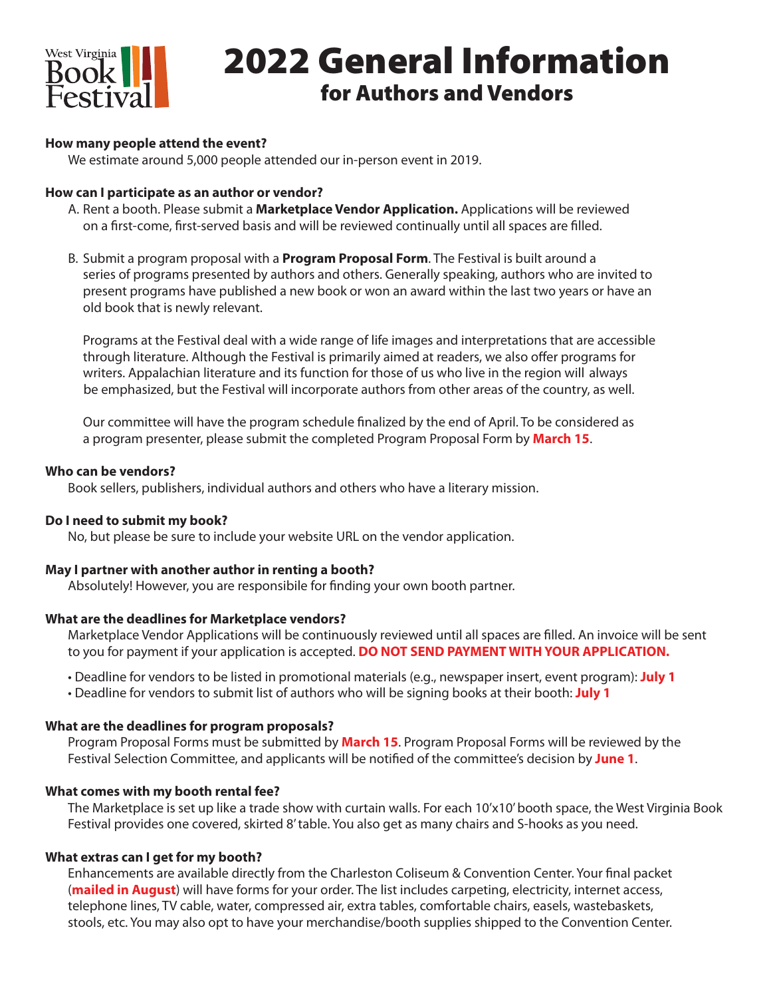

# 2022 General Information for Authors and Vendors

## **How many people attend the event?**

We estimate around 5,000 people attended our in-person event in 2019.

## **How can I participate as an author or vendor?**

- A. Rent a booth. Please submit a **Marketplace Vendor Application.** Applications will be reviewed on a first-come, first-served basis and will be reviewed continually until all spaces are filled.
- B. Submit a program proposal with a **Program Proposal Form**. The Festival is built around a series of programs presented by authors and others. Generally speaking, authors who are invited to present programs have published a new book or won an award within the last two years or have an old book that is newly relevant.

 Programs at the Festival deal with a wide range of life images and interpretations that are accessible through literature. Although the Festival is primarily aimed at readers, we also offer programs for writers. Appalachian literature and its function for those of us who live in the region will always be emphasized, but the Festival will incorporate authors from other areas of the country, as well.

 Our committee will have the program schedule finalized by the end of April. To be considered as a program presenter, please submit the completed Program Proposal Form by **March 15**.

#### **Who can be vendors?**

Book sellers, publishers, individual authors and others who have a literary mission.

## **Do I need to submit my book?**

No, but please be sure to include your website URL on the vendor application.

#### **May I partner with another author in renting a booth?**

Absolutely! However, you are responsibile for finding your own booth partner.

## **What are the deadlines for Marketplace vendors?**

Marketplace Vendor Applications will be continuously reviewed until all spaces are filled. An invoice will be sent to you for payment if your application is accepted. **DO NOT SEND PAYMENT WITH YOUR APPLICATION.**

- Deadline for vendors to be listed in promotional materials (e.g., newspaper insert, event program): **July 1**
- Deadline for vendors to submit list of authors who will be signing books at their booth: **July 1**

## **What are the deadlines for program proposals?**

Program Proposal Forms must be submitted by **March 15**. Program Proposal Forms will be reviewed by the Festival Selection Committee, and applicants will be notified of the committee's decision by **June 1**.

## **What comes with my booth rental fee?**

The Marketplace is set up like a trade show with curtain walls. For each 10'x10' booth space, the West Virginia Book Festival provides one covered, skirted 8' table. You also get as many chairs and S-hooks as you need.

## **What extras can I get for my booth?**

Enhancements are available directly from the Charleston Coliseum & Convention Center. Your final packet (**mailed in August**) will have forms for your order. The list includes carpeting, electricity, internet access, telephone lines, TV cable, water, compressed air, extra tables, comfortable chairs, easels, wastebaskets, stools, etc. You may also opt to have your merchandise/booth supplies shipped to the Convention Center.